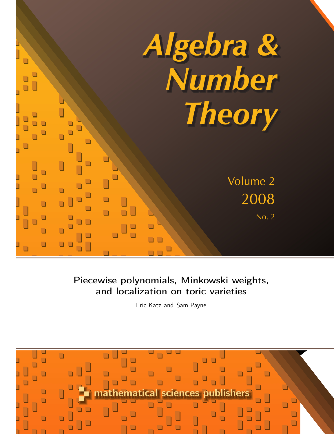

Piecewise polynomials, Minkowski weights, and localization on toric varieties

Eric Katz and Sam Payne

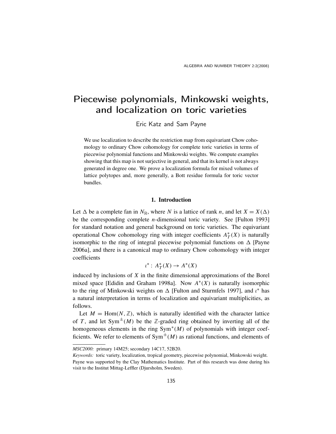# Piecewise polynomials, Minkowski weights, and localization on toric varieties

Eric Katz and Sam Payne

We use localization to describe the restriction map from equivariant Chow cohomology to ordinary Chow cohomology for complete toric varieties in terms of piecewise polynomial functions and Minkowski weights. We compute examples showing that this map is not surjective in general, and that its kernel is not always generated in degree one. We prove a localization formula for mixed volumes of lattice polytopes and, more generally, a Bott residue formula for toric vector bundles.

## 1. Introduction

Let  $\Delta$  be a complete fan in  $N_{\mathbb{R}}$ , where *N* is a lattice of rank *n*, and let  $X = X(\Delta)$ be the corresponding complete *n*-dimensional toric variety. See [Fulton 1993] for standard notation and general background on toric varieties. The equivariant operational Chow cohomology ring with integer coefficients  $A^*$  $T^*(X)$  is naturally isomorphic to the ring of integral piecewise polynomial functions on  $\Delta$  [Payne 2006a], and there is a canonical map to ordinary Chow cohomology with integer coefficients

$$
\iota^* : A_T^*(X) \to A^*(X)
$$

induced by inclusions of *X* in the finite dimensional approximations of the Borel mixed space [Edidin and Graham 1998a]. Now  $A^*(X)$  is naturally isomorphic to the ring of Minkowski weights on  $\Delta$  [Fulton and Sturmfels 1997], and  $\iota^*$  has a natural interpretation in terms of localization and equivariant multiplicities, as follows.

Let  $M = \text{Hom}(N, \mathbb{Z})$ , which is naturally identified with the character lattice of *T*, and let Sym<sup> $\pm$ </sup>(*M*) be the *Z*-graded ring obtained by inverting all of the homogeneous elements in the ring Sym<sup>∗</sup> (*M*) of polynomials with integer coefficients. We refer to elements of  $Sym^{\pm}(M)$  as rational functions, and elements of

*MSC2000:* primary 14M25; secondary 14C17, 52B20.

*Keywords:* toric variety, localization, tropical geometry, piecewise polynomial, Minkowski weight. Payne was supported by the Clay Mathematics Institute. Part of this research was done during his visit to the Institut Mittag-Leffler (Djursholm, Sweden).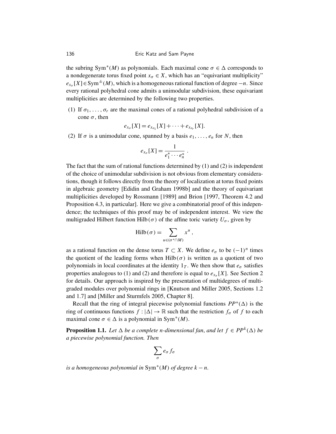the subring Sym<sup>\*</sup>(*M*) as polynomials. Each maximal cone  $\sigma \in \Delta$  corresponds to a nondegenerate torus fixed point  $x_{\sigma} \in X$ , which has an "equivariant multiplicity"  $e_{x_{\sigma}}[X] \in Sym^{\pm}(M)$ , which is a homogeneous rational function of degree −*n*. Since every rational polyhedral cone admits a unimodular subdivision, these equivariant multiplicities are determined by the following two properties.

(1) If  $\sigma_1, \ldots, \sigma_r$  are the maximal cones of a rational polyhedral subdivision of a cone  $\sigma$ , then

$$
e_{x_{\sigma}}[X] = e_{x_{\sigma_1}}[X] + \cdots + e_{x_{\sigma_r}}[X].
$$

(2) If  $\sigma$  is a unimodular cone, spanned by a basis  $e_1, \ldots, e_n$  for *N*, then

$$
e_{x_{\sigma}}[X] = \frac{1}{e_1^* \cdots e_n^*}.
$$

The fact that the sum of rational functions determined by (1) and (2) is independent of the choice of unimodular subdivision is not obvious from elementary considerations, though it follows directly from the theory of localization at torus fixed points in algebraic geometry [Edidin and Graham 1998b] and the theory of equivariant multiplicities developed by Rossmann [1989] and Brion [1997, Theorem 4.2 and Proposition 4.3, in particular]. Here we give a combinatorial proof of this independence; the techniques of this proof may be of independent interest. We view the multigraded Hilbert function Hilb( $\sigma$ ) of the affine toric variety  $U_{\sigma}$ , given by

$$
\mathrm{Hilb}(\sigma) = \sum_{u \in (\sigma^* \cap M)} x^u,
$$

as a rational function on the dense torus  $T \subset X$ . We define  $e_{\sigma}$  to be  $(-1)^n$  times the quotient of the leading forms when  $Hilb(\sigma)$  is written as a quotient of two polynomials in local coordinates at the identity  $1<sub>T</sub>$ . We then show that  $e<sub>\sigma</sub>$  satisfies properties analogous to (1) and (2) and therefore is equal to  $e_{x_{\sigma}}[X]$ . See Section 2 for details. Our approach is inspired by the presentation of multidegrees of multigraded modules over polynomial rings in [Knutson and Miller 2005, Sections 1.2 and 1.7] and [Miller and Sturmfels 2005, Chapter 8].

Recall that the ring of integral piecewise polynomial functions  $PP^*(\Delta)$  is the ring of continuous functions  $f : |\Delta| \to \mathbb{R}$  such that the restriction  $f_{\sigma}$  of f to each maximal cone  $\sigma \in \Delta$  is a polynomial in Sym<sup>\*</sup>(*M*).

**Proposition 1.1.** Let  $\Delta$  be a complete n-dimensional fan, and let  $f \in PP^k(\Delta)$  be *a piecewise polynomial function. Then*

$$
\sum_{\sigma} e_{\sigma} f_{\sigma}
$$

*is a homogeneous polynomial in* Sym<sup>∗</sup> (*M*) *of degree k* − *n.*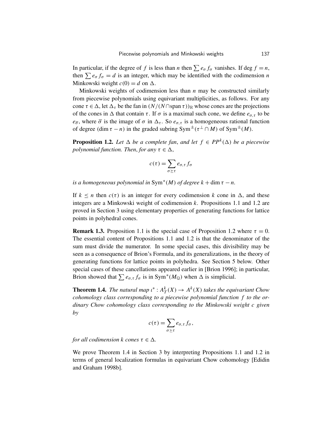In particular, if the degree of *f* is less than *n* then  $\sum e_{\sigma} f_{\sigma}$  vanishes. If deg  $f = n$ , then  $\sum e_{\sigma} f_{\sigma} = d$  is an integer, which may be identified with the codimension *n* Minkowski weight  $c(0) = d$  on  $\Delta$ .

Minkowski weights of codimension less than *n* may be constructed similarly from piecewise polynomials using equivariant multiplicities, as follows. For any cone  $\tau \in \Delta$ , let  $\Delta_{\tau}$  be the fan in  $(N/(N \cap \text{span } \tau))_{\mathbb{R}}$  whose cones are the projections of the cones in  $\Delta$  that contain  $\tau$ . If  $\sigma$  is a maximal such cone, we define  $e_{\sigma,\tau}$  to be  $e_{\bar{\sigma}}$ , where  $\bar{\sigma}$  is the image of  $\sigma$  in  $\Delta_{\tau}$ . So  $e_{\sigma,\tau}$  is a homogeneous rational function of degree (dim  $\tau - n$ ) in the graded subring Sym<sup> $\pm$ </sup>( $\tau^{\perp} \cap M$ ) of Sym<sup> $\pm$ </sup>(*M*).

**Proposition 1.2.** Let  $\Delta$  be a complete fan, and let  $f \in PP^k(\Delta)$  be a piecewise *polynomial function. Then, for any*  $\tau \in \Delta$ ,

$$
c(\tau) = \sum_{\sigma \succeq \tau} e_{\sigma,\tau} f_{\sigma}
$$

*is a homogeneous polynomial in*  $Sym^*(M)$  *of degree*  $k + dim \tau - n$ .

If  $k \leq n$  then  $c(\tau)$  is an integer for every codimension k cone in  $\Delta$ , and these integers are a Minkowski weight of codimension *k*. Propositions 1.1 and 1.2 are proved in Section 3 using elementary properties of generating functions for lattice points in polyhedral cones.

**Remark 1.3.** Proposition 1.1 is the special case of Proposition 1.2 where  $\tau = 0$ . The essential content of Propositions 1.1 and 1.2 is that the denominator of the sum must divide the numerator. In some special cases, this divisibility may be seen as a consequence of Brion's Formula, and its generalizations, in the theory of generating functions for lattice points in polyhedra. See Section 5 below. Other special cases of these cancellations appeared earlier in [Brion 1996]; in particular, Brion showed that  $\sum e_{\sigma,\tau} f_{\sigma}$  is in Sym<sup>\*</sup>( $M_{\mathbb{Q}}$ ) when  $\Delta$  is simplicial.

**Theorem 1.4.** *The natural map*  $\iota^*$  :  $A_T^k(X) \to A^k(X)$  *takes the equivariant Chow cohomology class corresponding to a piecewise polynomial function f to the ordinary Chow cohomology class corresponding to the Minkowski weight c given by*

$$
c(\tau) = \sum_{\sigma \succeq \tau} e_{\sigma,\tau} f_{\sigma},
$$

*for all codimension k cones*  $\tau \in \Delta$ *.* 

We prove Theorem 1.4 in Section 3 by interpreting Propositions 1.1 and 1.2 in terms of general localization formulas in equivariant Chow cohomology [Edidin and Graham 1998b].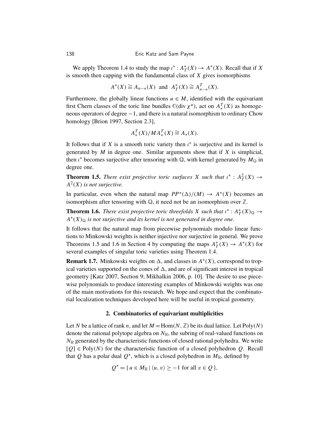We apply Theorem 1.4 to study the map  $\iota^*$ :  $A_7^*$  $T^*(X) \to A^*(X)$ . Recall that if *X* is smooth then capping with the fundamental class of *X* gives isomorphisms

$$
A^*(X) \cong A_{n-*}(X)
$$
 and  $A^*_T(X) \cong A^T_{n-*}(X)$ .

Furthermore, the globally linear functions  $u \in M$ , identified with the equivariant first Chern classes of the toric line bundles  $\mathbb{O}(\text{div }\chi^u)$ , act on  $A_*^T(X)$  as homogeneous operators of degree −1, and there is a natural isomorphism to ordinary Chow homology [Brion 1997, Section 2.3],

$$
A_*^T(X)/MA_*^T(X) \cong A_*(X).
$$

It follows that if *X* is a smooth toric variety then  $\iota^*$  is surjective and its kernel is generated by *M* in degree one. Similar arguments show that if *X* is simplicial, then  $\iota^*$  becomes surjective after tensoring with  $\mathbb{Q}$ , with kernel generated by  $M_{\mathbb{Q}}$  in degree one.

**Theorem 1.5.** *There exist projective toric surfaces X such that*  $\iota^*$  :  $A_T^2(X) \to$ *A* 2 (*X*) *is not surjective.*

In particular, even when the natural map  $PP^*(\Delta)/(M) \to A^*(X)$  becomes an isomorphism after tensoring with  $\mathbb Q$ , it need not be an isomorphism over  $\mathbb Z$ .

**Theorem 1.6.** *There exist projective toric threefolds X such that*  $\iota^*$  :  $A_7^*$  $_{T}^{*}(X)_{\mathbb{Q}} \rightarrow$  $A^*(X)_{\mathbb{Q}}$  *is not surjective and its kernel is not generated in degree one.* 

It follows that the natural map from piecewise polynomials modulo linear functions to Minkowski weights is neither injective nor surjective in general. We prove Theorems 1.5 and 1.6 in Section 4 by computing the maps  $A^*$  $T^*(X)$  → *A*<sup>\*</sup>(*X*) for several examples of singular toric varieties using Theorem 1.4.

**Remark 1.7.** Minkowski weights on  $\Delta$ , and classes in  $A^*(X)$ , correspond to tropical varieties supported on the cones of  $\Delta$ , and are of significant interest in tropical geometry [Katz 2007, Section 9; Mikhalkin 2006, p. 10]. The desire to use piecewise polynomials to produce interesting examples of Minkowski weights was one of the main motivations for this research. We hope and expect that the combinatorial localization techniques developed here will be useful in tropical geometry.

# 2. Combinatorics of equivariant multiplicities

Let *N* be a lattice of rank *n*, and let  $M = \text{Hom}(N, \mathbb{Z})$  be its dual lattice. Let  $\text{Poly}(N)$ denote the rational polytope algebra on  $N_{\mathbb{R}}$ , the subring of real-valued functions on  $N_{\mathbb{R}}$  generated by the characteristic functions of closed rational polyhedra. We write  $[Q] \in Poly(N)$  for the characteristic function of a closed polyhedron *Q*. Recall that Q has a polar dual  $Q^*$ , which is a closed polyhedron in  $M_{\mathbb{R}}$ , defined by

$$
Q^* = \{ u \in M_{\mathbb{R}} \mid \langle u, v \rangle \ge -1 \text{ for all } v \in Q \},
$$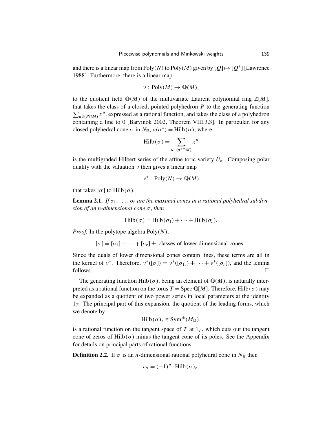and there is a linear map from  $Poly(N)$  to  $Poly(M)$  given by  $[Q] \mapsto [Q^*]$  [Lawrence 1988]. Furthermore, there is a linear map

$$
\nu: Poly(M)\to \mathbb{Q}(M),
$$

to the quotient field  $\mathbb{Q}(M)$  of the multivariate Laurent polynomial ring  $\mathbb{Z}[M]$ , that takes the class of a closed, pointed polyhedron  $P$  to the generating function  $\sum_{u \in (P \cap M)} x^u$ , expressed as a rational function, and takes the class of a polyhedron containing a line to 0 [Barvinok 2002, Theorem VIII.3.3]. In particular, for any closed polyhedral cone  $\sigma$  in  $N_{\mathbb{R}}$ ,  $v(\sigma^*) = \text{Hilb}(\sigma)$ , where

$$
\mathrm{Hilb}(\sigma) = \sum_{u \in (\sigma^* \cap M)} x^u
$$

is the multigraded Hilbert series of the affine toric variety  $U_{\sigma}$ . Composing polar duality with the valuation  $\nu$  then gives a linear map

$$
v^* : \text{Poly}(N) \to \mathbb{Q}(M)
$$

that takes  $[σ]$  to Hilb( $σ$ ).

**Lemma 2.1.** If  $\sigma_1, \ldots, \sigma_r$  are the maximal cones in a rational polyhedral subdivi*sion of an n-dimensional cone* σ, *then*

$$
\mathrm{Hilb}(\sigma) = \mathrm{Hilb}(\sigma_1) + \cdots + \mathrm{Hilb}(\sigma_r).
$$

*Proof.* In the polytope algebra Poly(*N*),

 $[\sigma] = [\sigma_1] + \cdots + [\sigma_r] \pm$  classes of lower dimensional cones.

Since the duals of lower dimensional cones contain lines, these terms are all in the kernel of  $v^*$ . Therefore,  $v^*([\sigma]) = v^*([\sigma_1]) + \cdots + v^*([\sigma_r])$ , and the lemma follows.  $\Box$ 

The generating function Hilb( $\sigma$ ), being an element of  $\mathbb{Q}(M)$ , is naturally interpreted as a rational function on the torus  $T = \text{Spec } \mathbb{Q}[M]$ . Therefore, Hilb( $\sigma$ ) may be expanded as a quotient of two power series in local parameters at the identity  $1<sub>T</sub>$ . The principal part of this expansion, the quotient of the leading forms, which we denote by

$$
\mathrm{Hilb}(\sigma)_{\circ} \in \mathrm{Sym}^{\pm}(M_{\mathbb{Q}}),
$$

is a rational function on the tangent space of  $T$  at  $1_T$ , which cuts out the tangent cone of zeros of  $Hilb(\sigma)$  minus the tangent cone of its poles. See the Appendix for details on principal parts of rational functions.

**Definition 2.2.** If  $\sigma$  is an *n*-dimensional rational polyhedral cone in  $N_{\mathbb{R}}$  then

$$
e_{\sigma} = (-1)^n \cdot \text{Hilb}(\sigma)_{\circ}.
$$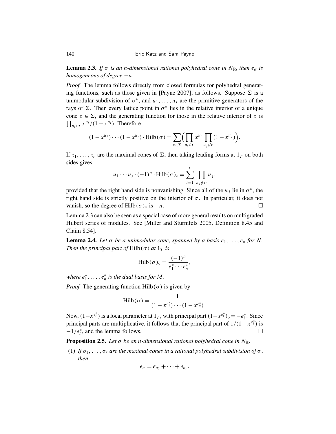**Lemma 2.3.** *If*  $\sigma$  *is an n-dimensional rational polyhedral cone in*  $N_{\mathbb{R}}$ *, then*  $e_{\sigma}$  *is homogeneous of degree* −*n.*

*Proof.* The lemma follows directly from closed formulas for polyhedral generating functions, such as those given in [Payne 2007], as follows. Suppose  $\Sigma$  is a unimodular subdivision of  $\sigma^*$ , and  $u_1, \ldots, u_s$  are the primitive generators of the rays of  $\Sigma$ . Then every lattice point in  $\sigma^*$  lies in the relative interior of a unique cone  $\tau \in \Sigma$ , and the generating function for those in the relative interior of  $\tau$  is  $\prod_{u_i \in \tau} x^{u_i} / (1 - x^{u_i})$ . Therefore,

$$
(1-x^{u_1})\cdots(1-x^{u_s})\cdot \text{Hilb}(\sigma)=\sum_{\tau\in\Sigma}\Bigl(\prod_{u_i\in\tau}x^{u_i}\prod_{u_j\notin\tau}(1-x^{u_j})\Bigr).
$$

If  $\tau_1, \ldots, \tau_r$  are the maximal cones of  $\Sigma$ , then taking leading forms at  $1_T$  on both sides gives

$$
u_1 \cdots u_s \cdot (-1)^n \cdot \operatorname{Hilb}(\sigma)_{\circ} = \sum_{i=1}^r \prod_{u_j \notin \tau_i} u_j,
$$

provided that the right hand side is nonvanishing. Since all of the  $u_j$  lie in  $\sigma^*$ , the right hand side is strictly positive on the interior of  $\sigma$ . In particular, it does not vanish, so the degree of Hilb( $\sigma$ )<sub>°</sub> is  $-n$ .

Lemma 2.3 can also be seen as a special case of more general results on multigraded Hilbert series of modules. See [Miller and Sturmfels 2005, Definition 8.45 and Claim 8.54].

**Lemma 2.4.** Let  $\sigma$  be a unimodular cone, spanned by a basis  $e_1, \ldots, e_n$  for N. *Then the principal part of*  $Hilb(\sigma)$  *at*  $1<sub>T</sub>$  *is* 

$$
\mathrm{Hilb}(\sigma)_{\circ} = \frac{(-1)^n}{e_1^* \cdots e_n^*},
$$

where  $e_1^*, \ldots, e_n^*$  is the dual basis for M.

*Proof.* The generating function  $Hilb(\sigma)$  is given by

$$
\mathrm{Hilb}(\sigma) = \frac{1}{(1 - x^{e_1^*}) \cdots (1 - x^{e_n^*})}.
$$

Now,  $(1-x^{e_i^*})$  is a local parameter at  $1_T$ , with principal part  $(1-x^{e_i^*})_{\circ} = -e_i^*$ *i* . Since principal parts are multiplicative, it follows that the principal part of  $1/(1 - x^{e_i^*})$  is  $-1/e_i^*$  $\overline{i}$ , and the lemma follows.

**Proposition 2.5.** Let  $\sigma$  be an *n*-dimensional rational polyhedral cone in  $N_{\mathbb{R}}$ .

(1) *If*  $\sigma_1, \ldots, \sigma_r$  *are the maximal cones in a rational polyhedral subdivision of*  $\sigma$ , *then*

$$
e_{\sigma}=e_{\sigma_1}+\cdots+e_{\sigma_r}.
$$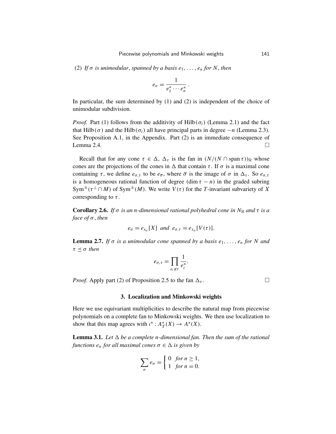(2) *If*  $\sigma$  *is unimodular, spanned by a basis*  $e_1, \ldots, e_n$  *for N, then* 

$$
e_{\sigma}=\frac{1}{e_1^*\cdots e_n^*}.
$$

In particular, the sum determined by (1) and (2) is independent of the choice of unimodular subdivision.

*Proof.* Part (1) follows from the additivity of Hilb( $\sigma$ <sup>i</sup>) (Lemma 2.1) and the fact that Hilb( $\sigma$ ) and the Hilb( $\sigma$ <sub>*i*</sub>) all have principal parts in degree  $-n$  (Lemma 2.3). See Proposition A.1, in the Appendix. Part (2) is an immediate consequence of Lemma 2.4.

Recall that for any cone  $\tau \in \Delta$ ,  $\Delta_{\tau}$  is the fan in  $(N/(N \cap \text{span } \tau))_{\mathbb{R}}$  whose cones are the projections of the cones in  $\Delta$  that contain  $\tau$ . If  $\sigma$  is a maximal cone containing  $\tau$ , we define  $e_{\sigma,\tau}$  to be  $e_{\bar{\sigma}}$ , where  $\bar{\sigma}$  is the image of  $\sigma$  in  $\Delta_{\tau}$ . So  $e_{\sigma,\tau}$ is a homogeneous rational function of degree  $(\dim \tau - n)$  in the graded subring Sym<sup> $\pm$ </sup>( $\tau^{\perp} \cap M$ ) of Sym<sup> $\pm$ </sup>(*M*). We write *V*( $\tau$ ) for the *T*-invariant subvariety of *X* corresponding to  $\tau$ .

**Corollary 2.6.** *If*  $\sigma$  *is an n-dimensional rational polyhedral cone in*  $N_{\mathbb{R}}$  *and*  $\tau$  *is a face of* σ, *then*

$$
e_{\sigma} = e_{x_{\sigma}}[X]
$$
 and  $e_{\sigma,\tau} = e_{x_{\sigma}}[V(\tau)].$ 

**Lemma 2.7.** *If*  $\sigma$  *is a unimodular cone spanned by a basis e<sub>1</sub>, ..., <i>e<sub>n</sub>* for N and  $\tau \preceq \sigma$  *then* 

$$
e_{\sigma,\tau} = \prod_{e_i \notin \tau} \frac{1}{e_i^*}.
$$

*Proof.* Apply part (2) of Proposition 2.5 to the fan  $\Delta_{\tau}$ .

## 3. Localization and Minkowski weights

Here we use equivariant multiplicities to describe the natural map from piecewise polynomials on a complete fan to Minkowski weights. We then use localization to show that this map agrees with  $\iota^*$  :  $A_7^*$  $T^*(X) \to A^*(X).$ 

**Lemma 3.1.** Let  $\Delta$  be a complete n-dimensional fan. Then the sum of the rational *functions*  $e_{\sigma}$  *for all maximal cones*  $\sigma \in \Delta$  *is given by* 

$$
\sum_{\sigma} e_{\sigma} = \begin{cases} 0 & \text{for } n \ge 1, \\ 1 & \text{for } n = 0. \end{cases}
$$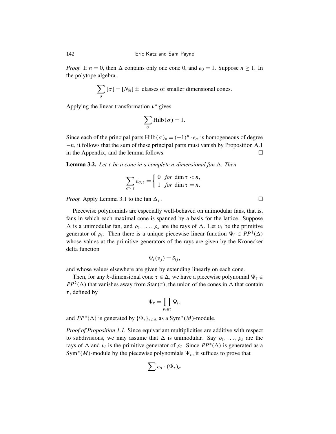*Proof.* If  $n = 0$ , then  $\Delta$  contains only one cone 0, and  $e_0 = 1$ . Suppose  $n \ge 1$ . In the polytope algebra ,

$$
\sum_{\sigma} [\sigma] = [N_{\mathbb{R}}] \pm \text{ classes of smaller dimensional cones.}
$$

Applying the linear transformation  $v^*$  gives

$$
\sum_{\sigma} \mathrm{Hilb}(\sigma) = 1.
$$

Since each of the principal parts Hilb( $\sigma$ )<sub>°</sub> =  $(-1)^n \cdot e_{\sigma}$  is homogeneous of degree −*n*, it follows that the sum of these principal parts must vanish by Proposition A.1 in the Appendix, and the lemma follows.

**Lemma 3.2.** Let  $\tau$  be a cone in a complete n-dimensional fan  $\Delta$ . Then

$$
\sum_{\sigma \geq \tau} e_{\sigma,\tau} = \begin{cases} 0 & \text{for } \dim \tau < n, \\ 1 & \text{for } \dim \tau = n. \end{cases}
$$

*Proof.* Apply Lemma 3.1 to the fan  $\Delta_{\tau}$ .

Piecewise polynomials are especially well-behaved on unimodular fans, that is, fans in which each maximal cone is spanned by a basis for the lattice. Suppose  $\Delta$  is a unimodular fan, and  $\rho_1, \ldots, \rho_s$  are the rays of  $\Delta$ . Let  $v_i$  be the primitive generator of  $\rho_i$ . Then there is a unique piecewise linear function  $\Psi_i \in PP^1(\Delta)$ whose values at the primitive generators of the rays are given by the Kronecker delta function

$$
\Psi_i(v_j)=\delta_{ij},
$$

and whose values elsewhere are given by extending linearly on each cone.

Then, for any *k*-dimensional cone  $\tau \in \Delta$ , we have a piecewise polynomial  $\Psi_{\tau} \in$ *PP*<sup>*k*</sup>( $\Delta$ ) that vanishes away from Star( $\tau$ ), the union of the cones in  $\Delta$  that contain  $\tau$ , defined by

$$
\Psi_{\tau} = \prod_{v_i \in \tau} \Psi_i,
$$

and  $PP^*(\Delta)$  is generated by  ${\lbrace \Psi_{\tau} \rbrace_{\tau \in \Delta}}$  as a Sym<sup>\*</sup>(*M*)-module.

*Proof of Proposition 1.1.* Since equivariant multiplicities are additive with respect to subdivisions, we may assume that  $\Delta$  is unimodular. Say  $\rho_1, \ldots, \rho_s$  are the rays of  $\Delta$  and  $v_i$  is the primitive generator of  $\rho_i$ . Since  $PP^*(\Delta)$  is generated as a Sym<sup>\*</sup>(*M*)-module by the piecewise polynomials  $\Psi_{\tau}$ , it suffices to prove that

$$
\sum e_{\sigma} \cdot (\Psi_{\tau})_{\sigma}
$$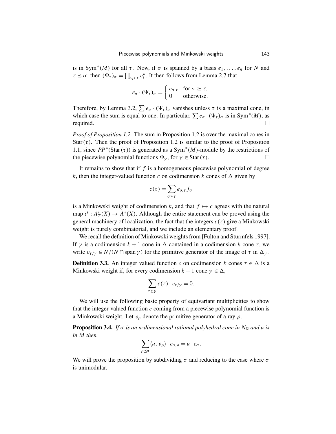is in Sym<sup>\*</sup>(*M*) for all  $\tau$ . Now, if  $\sigma$  is spanned by a basis  $e_1, \ldots, e_n$  for *N* and  $\tau \preceq \sigma$ , then  $(\Psi_{\tau})_{\sigma} = \prod_{v_i \in \tau} e_i^*$  $i<sub>i</sub>$ . It then follows from Lemma 2.7 that

$$
e_{\sigma} \cdot (\Psi_{\tau})_{\sigma} = \begin{cases} e_{\sigma,\tau} & \text{for } \sigma \succeq \tau, \\ 0 & \text{otherwise.} \end{cases}
$$

Therefore, by Lemma 3.2,  $\sum e_{\sigma} \cdot (\Psi_{\tau})_{\sigma}$  vanishes unless  $\tau$  is a maximal cone, in which case the sum is equal to one. In particular,  $\sum e_{\sigma} \cdot (\Psi_{\tau})_{\sigma}$  is in Sym<sup>\*</sup>(*M*), as required.

*Proof of Proposition 1.2.* The sum in Proposition 1.2 is over the maximal cones in Star( $\tau$ ). Then the proof of Proposition 1.2 is similar to the proof of Proposition 1.1, since  $PP^*(Star(\tau))$  is generated as a Sym<sup>\*</sup>(*M*)-module by the restrictions of the piecewise polynomial functions  $\Psi_{\gamma}$ , for  $\gamma \in \text{Star}(\tau)$ .

It remains to show that if *f* is a homogeneous piecewise polynomial of degree *k*, then the integer-valued function *c* on codimension *k* cones of  $\Delta$  given by

$$
c(\tau) = \sum_{\sigma \succeq \tau} e_{\sigma,\tau} f_{\sigma}
$$

is a Minkowski weight of codimension k, and that  $f \mapsto c$  agrees with the natural map  $\iota^*$  :  $A^*$ <sub>7</sub>  $T^*(X) \to A^*(X)$ . Although the entire statement can be proved using the general machinery of localization, the fact that the integers  $c(\tau)$  give a Minkowski weight is purely combinatorial, and we include an elementary proof.

We recall the definition of Minkowski weights from [Fulton and Sturmfels 1997]. If  $\gamma$  is a codimension  $k + 1$  cone in  $\Delta$  contained in a codimension *k* cone τ, we write  $v_{\tau/\gamma} \in N/(N \cap \text{span } \gamma)$  for the primitive generator of the image of  $\tau$  in  $\Delta_{\gamma}$ .

**Definition 3.3.** An integer valued function *c* on codimension *k* cones  $\tau \in \Delta$  is a Minkowski weight if, for every codimension  $k + 1$  cone  $\gamma \in \Delta$ ,

$$
\sum_{\tau \succeq \gamma} c(\tau) \cdot v_{\tau/\gamma} = 0.
$$

We will use the following basic property of equivariant multiplicities to show that the integer-valued function  $c$  coming from a piecewise polynomial function is a Minkowski weight. Let  $v<sub>o</sub>$  denote the primitive generator of a ray  $\rho$ .

**Proposition 3.4.** *If*  $\sigma$  *is an n-dimensional rational polyhedral cone in*  $N_{\mathbb{R}}$  *and u is in M then*

$$
\sum_{\rho\preceq\sigma}\langle u,\,v_{\rho}\rangle\cdot e_{\sigma,\,\rho}=u\cdot e_{\sigma}.
$$

We will prove the proposition by subdividing  $\sigma$  and reducing to the case where  $\sigma$ is unimodular.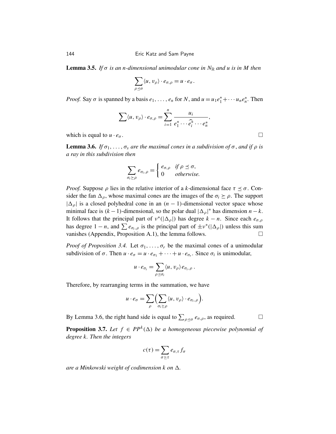**Lemma 3.5.** *If*  $\sigma$  *is an n-dimensional unimodular cone in*  $N_{\mathbb{R}}$  *and u is in M then* 

$$
\sum_{\rho\preceq\sigma}\langle u,v_{\rho}\rangle\cdot e_{\sigma,\rho}=u\cdot e_{\sigma}.
$$

*Proof.* Say  $\sigma$  is spanned by a basis  $e_1, \ldots, e_n$  for *N*, and  $u = u_1 e_1^* + \cdots + u_n e_n^*$ . Then

$$
\sum \langle u, v_{\rho} \rangle \cdot e_{\sigma, \rho} = \sum_{i=1}^n \frac{u_i}{e_1^* \cdots \widehat{e_i^*} \cdots e_n^*},
$$

which is equal to  $u \cdot e_{\sigma}$ .

**Lemma 3.6.** *If*  $\sigma_1, \ldots, \sigma_s$  *are the maximal cones in a subdivision of*  $\sigma$ *, and if*  $\rho$  *is a ray in this subdivision then*

$$
\sum_{\sigma_i \succeq \rho} e_{\sigma_i, \rho} = \begin{cases} e_{\sigma, \rho} & \text{if } \rho \leq \sigma, \\ 0 & \text{otherwise.} \end{cases}
$$

*Proof.* Suppose  $\rho$  lies in the relative interior of a *k*-dimensional face  $\tau \leq \sigma$ . Consider the fan  $\Delta_{\rho}$ , whose maximal cones are the images of the  $\sigma_i \ge \rho$ . The support  $|\Delta_{\rho}|$  is a closed polyhedral cone in an  $(n - 1)$ -dimensional vector space whose minimal face is  $(k-1)$ -dimensional, so the polar dual  $|\Delta_{\rho}|^*$  has dimension  $n-k$ . It follows that the principal part of  $v^*(|\Delta_\rho|)$  has degree  $k - n$ . Since each  $e_{\sigma,\rho}$ has degree  $1 - n$ , and  $\sum e_{\sigma_i,\rho}$  is the principal part of  $\pm v^* (\vert \Delta_\rho \vert)$  unless this sum vanishes (Appendix, Proposition A.1), the lemma follows.  $\Box$ 

*Proof of Proposition 3.4.* Let  $\sigma_1, \ldots, \sigma_r$  be the maximal cones of a unimodular subdivision of  $\sigma$ . Then  $u \cdot e_{\sigma} = u \cdot e_{\sigma_1} + \cdots + u \cdot e_{\sigma_r}$ . Since  $\sigma_i$  is unimodular,

$$
u\cdot e_{\sigma_i}=\sum_{\rho\preceq\sigma_i}\langle u,\,v_{\rho}\rangle\,e_{\sigma_i,\,\rho}\ .
$$

Therefore, by rearranging terms in the summation, we have

$$
u \cdot e_{\sigma} = \sum_{\rho} \Biggl( \sum_{\sigma_i \succeq \rho} \langle u, v_{\rho} \rangle \cdot e_{\sigma_i, \rho} \Biggr).
$$

By Lemma 3.6, the right hand side is equal to  $\sum_{\rho \preceq \sigma} e_{\sigma,\rho}$ , as required.

**Proposition 3.7.** Let  $f \in PP^k(\Delta)$  be a homogeneous piecewise polynomial of *degree k. Then the integers*

$$
c(\tau) = \sum_{\sigma \succeq \tau} e_{\sigma,\tau} f_{\sigma}
$$

*are a Minkowski weight of codimension k on*  $\Delta$ *.*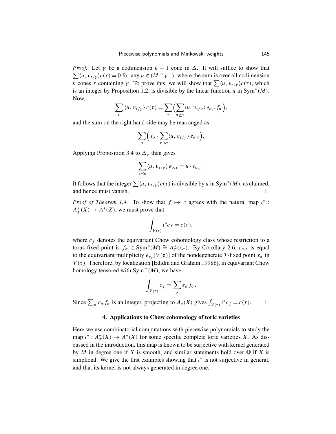*Proof.* Let  $\gamma$  be a codimension  $k + 1$  cone in  $\Delta$ . It will suffice to show that  $\sum \langle u, v_{\tau/\gamma} \rangle c(\tau) = 0$  for any  $u \in (M \cap \gamma^{\perp})$ , where the sum is over all codimension *k* cones τ containing *γ*. To prove this, we will show that  $\sum \langle u, v_{\tau/\gamma} \rangle c(\tau)$ , which is an integer by Proposition 1.2, is divisible by the linear function  $\overline{u}$  in Sym<sup>\*</sup>(*M*). Now,

$$
\sum_{\tau} \langle u, v_{\tau/\gamma} \rangle c(\tau) = \sum_{\tau} \Bigl( \sum_{\sigma \succeq \tau} \langle u, v_{\tau/\gamma} \rangle e_{\sigma,\tau} f_{\sigma} \Bigr),
$$

and the sum on the right hand side may be rearranged as

$$
\sum_{\sigma}\Bigl(f_{\sigma}\cdot\sum_{\tau\preceq\sigma}\langle u,\,v_{\tau/\gamma}\rangle\,e_{\sigma,\tau}\Bigr).
$$

Applying Proposition 3.4 to  $\Delta_{\gamma}$  then gives

$$
\sum_{\tau \preceq \sigma} \langle u, v_{\tau/\gamma} \rangle e_{\sigma, \tau} = u \cdot e_{\sigma, \gamma}.
$$

It follows that the integer  $\sum \langle u, v_{\tau/\gamma} \rangle c(\tau)$  is divisible by *u* in Sym<sup>\*</sup>(*M*), as claimed, and hence must vanish.

*Proof of Theorem 1.4.* To show that  $f \mapsto c$  agrees with the natural map  $\iota^*$ : *A* ∗  $T^*(X) \to A^*(X)$ , we must prove that

$$
\int_{V(\tau)} \iota^* c_f = c(\tau),
$$

where  $c_f$  denotes the equivariant Chow cohomology class whose restriction to a torus fixed point is  $f_{\sigma} \in \text{Sym}^*(M) \cong A^*_T$  $T^*(x_{\sigma})$ . By Corollary 2.6,  $e_{\sigma,\tau}$  is equal to the equivariant multiplicity  $e_{x_{\sigma}}[V(\tau)]$  of the nondegenerate T-fixed point  $x_{\sigma}$  in  $V(\tau)$ . Therefore, by localization [Edidin and Graham 1998b], in equivariant Chow homology tensored with  $Sym^{\pm}(M)$ , we have

$$
\int_{V(\tau)} c_f = \sum_{\sigma} e_{\sigma} f_{\sigma}.
$$

Since  $\sum_{\sigma} e_{\sigma} f_{\sigma}$  is an integer, projecting to  $A_*(X)$  gives  $\int_{V(\tau)} i^* c_f = c(\tau)$ .  $\Box$ 

# 4. Applications to Chow cohomology of toric varieties

Here we use combinatorial computations with piecewise polynomials to study the map  $\iota^*$  :  $A^*$ <sub>7</sub>  $T^*(X) \to A^*(X)$  for some specific complete toric varieties *X*. As discussed in the introduction, this map is known to be surjective with kernel generated by *M* in degree one if *X* is smooth, and similar statements hold over  $\mathbb Q$  if *X* is simplicial. We give the first examples showing that  $\iota^*$  is not surjective in general, and that its kernel is not always generated in degree one.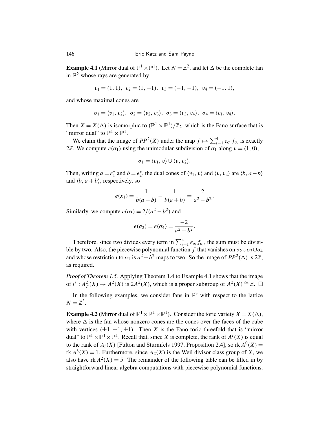**Example 4.1** (Mirror dual of  $\mathbb{P}^1 \times \mathbb{P}^1$ ). Let  $N = \mathbb{Z}^2$ , and let  $\Delta$  be the complete fan in  $\mathbb{R}^2$  whose rays are generated by

$$
v_1 = (1, 1), v_2 = (1, -1), v_3 = (-1, -1), v_4 = (-1, 1),
$$

and whose maximal cones are

$$
\sigma_1=\langle v_1,v_2\rangle, \ \sigma_2=\langle v_2,v_3\rangle, \ \sigma_3=\langle v_3,v_4\rangle, \ \sigma_4=\langle v_1,v_4\rangle.
$$

Then  $X = X(\Delta)$  is isomorphic to  $(\mathbb{P}^1 \times \mathbb{P}^1)/\mathbb{Z}_2$ , which is the Fano surface that is "mirror dual" to  $\mathbb{P}^1 \times \mathbb{P}^1$ .

We claim that the image of  $PP^2(X)$  under the map  $f \mapsto \sum_{i=1}^4 e_{\sigma_i} f_{\sigma_i}$  is exactly 2Z. We compute  $e(\sigma_1)$  using the unimodular subdivision of  $\sigma_1$  along  $v = (1, 0)$ ,

$$
\sigma_1 = \langle v_1, v \rangle \cup \langle v, v_2 \rangle.
$$

Then, writing  $a = e_1^*$  $i_1^*$  and *b* =  $e_2^*$  $\chi_2^*$ , the dual cones of  $\langle v_1, v \rangle$  and  $\langle v, v_2 \rangle$  are  $\langle b, a - b \rangle$ and  $\langle b, a+b \rangle$ , respectively, so

$$
e(x_1) = \frac{1}{b(a-b)} - \frac{1}{b(a+b)} = \frac{2}{a^2 - b^2}.
$$

Similarly, we compute  $e(\sigma_3) = 2/(a^2 - b^2)$  and

$$
e(\sigma_2) = e(\sigma_4) = \frac{-2}{a^2 - b^2}.
$$

Therefore, since two divides every term in  $\sum_{i=1}^{4} e_{\sigma_i} f_{\sigma_i}$ , the sum must be divisible by two. Also, the piecewise polynomial function *f* that vanishes on  $\sigma_2 \cup \sigma_3 \cup \sigma_4$ and whose restriction to  $\sigma_1$  is  $a^2 - b^2$  maps to two. So the image of  $PP^2(\Delta)$  is  $2\mathbb{Z}$ , as required.

*Proof of Theorem 1.5.* Applying Theorem 1.4 to Example 4.1 shows that the image of  $\iota^* : A^2_T(X) \to A^2(X)$  is  $2A^2(X)$ , which is a proper subgroup of  $A^2(X) \cong \mathbb{Z}$ .  $\square$ 

In the following examples, we consider fans in  $\mathbb{R}^3$  with respect to the lattice  $N=\mathbb{Z}^3$ .

**Example 4.2** (Mirror dual of  $\mathbb{P}^1 \times \mathbb{P}^1 \times \mathbb{P}^1$ ). Consider the toric variety  $X = X(\Delta)$ , where  $\Delta$  is the fan whose nonzero cones are the cones over the faces of the cube with vertices  $(\pm 1, \pm 1, \pm 1)$ . Then *X* is the Fano toric threefold that is "mirror" dual" to  $\mathbb{P}^1 \times \mathbb{P}^1 \times \mathbb{P}^1$ . Recall that, since *X* is complete, the rank of  $A^i(X)$  is equal to the rank of  $A_i(X)$  [Fulton and Sturmfels 1997, Proposition 2.4], so rk  $A^0(X)$  = rk  $A^3(X) = 1$ . Furthermore, since  $A_2(X)$  is the Weil divisor class group of *X*, we also have  $rk A^2(X) = 5$ . The remainder of the following table can be filled in by straightforward linear algebra computations with piecewise polynomial functions.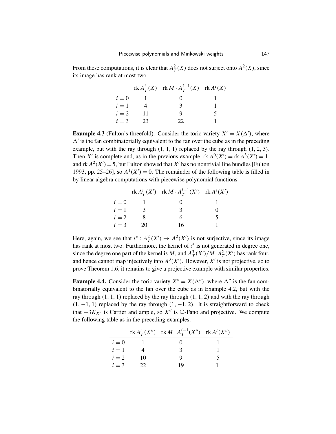From these computations, it is clear that  $A_T^2(X)$  does not surject onto  $A^2(X)$ , since its image has rank at most two.

|       |    | $r k A_T^i(X)$ $r k M \cdot A_T^{i-1}(X)$ $r k A^i(X)$ |  |
|-------|----|--------------------------------------------------------|--|
| $i=0$ |    |                                                        |  |
| $i=1$ |    | $\mathcal{R}$                                          |  |
| $i=2$ | 11 |                                                        |  |
| $i=3$ | 23 | つつ                                                     |  |

**Example 4.3** (Fulton's threefold). Consider the toric variety  $X' = X(\Delta')$ , where  $\Delta'$  is the fan combinatorially equivalent to the fan over the cube as in the preceding example, but with the ray through  $(1, 1, 1)$  replaced by the ray through  $(1, 2, 3)$ . Then *X'* is complete and, as in the previous example, rk  $A^0(X') = \text{rk } A^3(X') = 1$ , and rk  $A^2(X') = 5$ , but Fulton showed that X' has no nontrivial line bundles [Fulton 1993, pp. 25–26], so  $A^1(X') = 0$ . The remainder of the following table is filled in by linear algebra computations with piecewise polynomial functions.

|       |               | $\text{rk } A^i_T(X')$ $\text{rk } M \cdot A^{i-1}_T(X')$ $\text{rk } A^i(X')$ |   |
|-------|---------------|--------------------------------------------------------------------------------|---|
| $i=0$ |               |                                                                                |   |
| $i=1$ | $\mathcal{R}$ | 3                                                                              |   |
| $i=2$ |               | 6                                                                              | 5 |
| $i=3$ | 20            | 16                                                                             |   |

Here, again, we see that  $\iota^* : A^2(\mathcal{X}') \to A^2(\mathcal{X}')$  is not surjective, since its image has rank at most two. Furthermore, the kernel of  $\iota^*$  is not generated in degree one, since the degree one part of the kernel is M, and  $A_T^3(X')/M \cdot A_T^2(X')$  has rank four, and hence cannot map injectively into  $A^3(X')$ . However, X' is not projective, so to prove Theorem 1.6, it remains to give a projective example with similar properties.

**Example 4.4.** Consider the toric variety  $X'' = X(\Delta'')$ , where  $\Delta''$  is the fan combinatorially equivalent to the fan over the cube as in Example 4.2, but with the ray through  $(1, 1, 1)$  replaced by the ray through  $(1, 1, 2)$  and with the ray through  $(1, -1, 1)$  replaced by the ray through  $(1, -1, 2)$ . It is straightforward to check that  $-3K_{X''}$  is Cartier and ample, so  $X''$  is Q-Fano and projective. We compute the following table as in the preceding examples.

|       |    | $\text{rk } A^i_T(X'')$ $\text{rk } M \cdot A^{i-1}_T(X'')$ $\text{rk } A^i(X'')$ |  |
|-------|----|-----------------------------------------------------------------------------------|--|
| $i=0$ |    |                                                                                   |  |
| $i=1$ |    | 3                                                                                 |  |
| $i=2$ | 10 |                                                                                   |  |
| $i=3$ | 22 | 19                                                                                |  |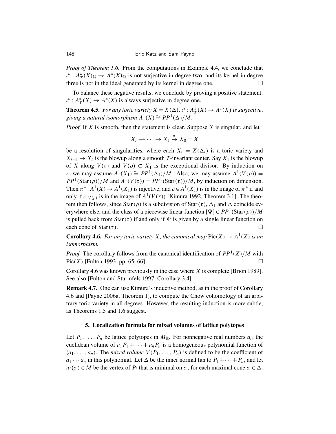*Proof of Theorem 1.6.* From the computations in Example 4.4, we conclude that ι ∗ : *A* ∗  $T^*(X)_{\mathbb{Q}} \to A^*(X)_{\mathbb{Q}}$  is not surjective in degree two, and its kernel in degree three is not in the ideal generated by its kernel in degree one.

To balance these negative results, we conclude by proving a positive statement:  $\iota^* : A_7^*$  $T^*(X) \to A^*(X)$  is always surjective in degree one.

**Theorem 4.5.** For any toric variety  $X = X(\Delta)$ ,  $\iota^* : A^1_T(X) \to A^1(X)$  is surjective, giving a natural isomorphism  $A^1(X) \cong PP^1(\Delta)/M$ .

*Proof.* If *X* is smooth, then the statement is clear. Suppose *X* is singular, and let

$$
X_r \to \cdots \to X_1 \stackrel{\pi}{\to} X_0 = X
$$

be a resolution of singularities, where each  $X_i = X(\Delta_i)$  is a toric variety and  $X_{i+1} \to X_i$  is the blowup along a smooth *T*-invariant center. Say  $X_1$  is the blowup of *X* along  $V(\tau)$  and  $V(\rho) \subset X_1$  is the exceptional divisor. By induction on *r*, we may assume  $A^1(X_1) \cong PP^1(\Delta_1)/M$ . Also, we may assume  $A^1(V(\rho)) =$  $PP<sup>1</sup>(Star(\rho))/M$  and  $A<sup>1</sup>(V(\tau)) = PP<sup>1</sup>(Star(\tau))/M$ , by induction on dimension. Then  $\pi^*: A^1(X) \to A^1(X_1)$  is injective, and  $c \in A^1(X_1)$  is in the image of  $\pi^*$  if and only if  $c|_{V(\rho)}$  is in the image of  $A^1(V(\tau))$  [Kimura 1992, Theorem 3.1]. The theorem then follows, since Star( $\rho$ ) is a subdivision of Star( $\tau$ ),  $\Delta_1$  and  $\Delta$  coincide everywhere else, and the class of a piecewise linear function  $[\Psi] \in PP^1(\text{Star}(\rho))/M$ is pulled back from Star( $\tau$ ) if and only if  $\Psi$  is given by a single linear function on each cone of Star( $\tau$ ).

**Corollary 4.6.** For any toric variety X, the canonical map  $Pic(X) \to A^1(X)$  is an *isomorphism.*

*Proof.* The corollary follows from the canonical identification of  $PP<sup>1</sup>(X)/M$  with Pic(*X*) [Fulton 1993, pp. 65–66].

Corollary 4.6 was known previously in the case where *X* is complete [Brion 1989]. See also [Fulton and Sturmfels 1997, Corollary 3.4].

Remark 4.7. One can use Kimura's inductive method, as in the proof of Corollary 4.6 and [Payne 2006a, Theorem 1], to compute the Chow cohomology of an arbitrary toric variety in all degrees. However, the resulting induction is more subtle, as Theorems 1.5 and 1.6 suggest.

# 5. Localization formula for mixed volumes of lattice polytopes

Let  $P_1, \ldots, P_n$  be lattice polytopes in  $M_{\mathbb{R}}$ . For nonnegative real numbers  $a_i$ , the euclidean volume of  $a_1P_1 + \cdots + a_nP_n$  is a homogeneous polynomial function of  $(a_1, \ldots, a_n)$ . The *mixed volume*  $V(P_1, \ldots, P_n)$  is defined to be the coefficient of  $a_1 \cdots a_n$  in this polynomial. Let  $\Delta$  be the inner normal fan to  $P_1 + \cdots + P_n$ , and let  $u_i(\sigma) \in M$  be the vertex of  $P_i$  that is minimal on  $\sigma$ , for each maximal cone  $\sigma \in \Delta$ .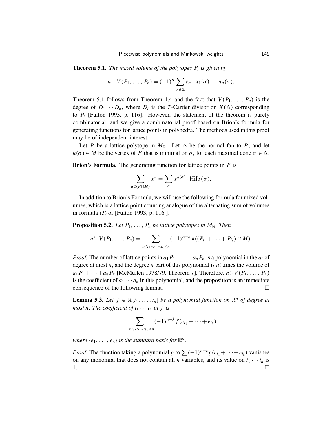Theorem 5.1. *The mixed volume of the polytopes P<sup>i</sup> is given by*

$$
n! \cdot V(P_1, \ldots, P_n) = (-1)^n \sum_{\sigma \in \Delta} e_{\sigma} \cdot u_1(\sigma) \cdots u_n(\sigma).
$$

Theorem 5.1 follows from Theorem 1.4 and the fact that  $V(P_1, \ldots, P_n)$  is the degree of  $D_1 \cdots D_n$ , where  $D_i$  is the *T*-Cartier divisor on  $X(\Delta)$  corresponding to  $P_i$  [Fulton 1993, p. 116]. However, the statement of the theorem is purely combinatorial, and we give a combinatorial proof based on Brion's formula for generating functions for lattice points in polyhedra. The methods used in this proof may be of independent interest.

Let *P* be a lattice polytope in  $M_{\mathbb{R}}$ . Let  $\Delta$  be the normal fan to *P*, and let  $u(\sigma) \in M$  be the vertex of *P* that is minimal on  $\sigma$ , for each maximal cone  $\sigma \in \Delta$ .

Brion's Formula. The generating function for lattice points in *P* is

$$
\sum_{u \in (P \cap M)} x^u = \sum_{\sigma} x^{u(\sigma)} \cdot \text{Hilb}(\sigma).
$$

In addition to Brion's Formula, we will use the following formula for mixed volumes, which is a lattice point counting analogue of the alternating sum of volumes in formula (3) of [Fulton 1993, p. 116 ].

**Proposition 5.2.** *Let*  $P_1, \ldots, P_n$  *be lattice polytopes in*  $M_{\mathbb{R}}$ *. Then* 

$$
n! \cdot V(P_1, \ldots, P_n) = \sum_{1 \leq i_1 < \cdots < i_k \leq n} (-1)^{n-k} \# ((P_{i_1} + \cdots + P_{i_k}) \cap M).
$$

*Proof.* The number of lattice points in  $a_1P_1+\cdots+a_nP_n$  is a polynomial in the  $a_i$  of degree at most *n*, and the degree *n* part of this polynomial is *n*! times the volume of  $a_1P_1+\cdots+a_nP_n$  [McMullen 1978/79, Theorem 7]. Therefore,  $n! \cdot V(P_1,\ldots,P_n)$ is the coefficient of  $a_1 \cdots a_n$  in this polynomial, and the proposition is an immediate consequence of the following lemma.

**Lemma 5.3.** Let  $f \in \mathbb{R}[t_1, \ldots, t_n]$  be a polynomial function on  $\mathbb{R}^n$  of degree at *most n. The coefficient of*  $t_1 \cdots t_n$  *in f is* 

$$
\sum_{1 \le i_1 < \dots < i_k \le n} (-1)^{n-k} f(e_{i_1} + \dots + e_{i_k})
$$

where  $\{e_1, \ldots, e_n\}$  *is the standard basis for*  $\mathbb{R}^n$ *.* 

*Proof.* The function taking a polynomial *g* to  $\sum (-1)^{n-k} g(e_{i_1} + \cdots + e_{i_k})$  vanishes on any monomial that does not contain all *n* variables, and its value on  $t_1 \cdots t_n$  is  $1.$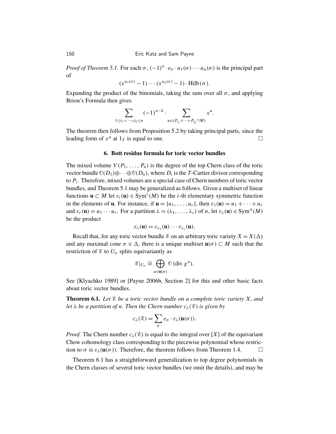*Proof of Theorem 5.1.* For each  $\sigma$ ,  $(-1)^n \cdot e_{\sigma} \cdot u_1(\sigma) \cdots u_n(\sigma)$  is the principal part of

$$
(x^{u_1(\sigma)}-1)\cdots(x^{u_n(\sigma)}-1)\cdot \operatorname{Hilb}(\sigma).
$$

Expanding the product of the binomials, taking the sum over all  $\sigma$ , and applying Brion's Formula then gives

$$
\sum_{1 \le i_1 < \dots < i_k \le n} (-1)^{n-k} \cdot \sum_{u \in (P_{i_1} + \dots + P_{i_k} \cap M)} x^u.
$$

The theorem then follows from Proposition 5.2 by taking principal parts, since the leading form of  $x^u$  at  $1_T$  is equal to one.

### 6. Bott residue formula for toric vector bundles

The mixed volume  $V(P_1, \ldots, P_n)$  is the degree of the top Chern class of the toric vector bundle  $\mathbb{O}(D_1) \oplus \cdots \oplus \mathbb{O}(D_n)$ , where  $D_i$  is the *T*-Cartier divisor corresponding to *P<sup>i</sup>* . Therefore, mixed volumes are a special case of Chern numbers of toric vector bundles, and Theorem 5.1 may be generalized as follows. Given a multiset of linear functions  $\mathbf{u} \subset M$  let  $\varepsilon_i(\mathbf{u}) \in \text{Sym}^i(M)$  be the *i*-th elementary symmetric function in the elements of **u**. For instance, if  $\mathbf{u} = \{u_1, \dots, u_r\}$ , then  $\varepsilon_1(\mathbf{u}) = u_1 + \dots + u_r$ and  $\varepsilon_r(\mathbf{u}) = u_1 \cdots u_r$ . For a partition  $\lambda = (\lambda_1, \ldots, \lambda_s)$  of *n*, let  $\varepsilon_\lambda(\mathbf{u}) \in \mathrm{Sym}^n(M)$ be the product

$$
\varepsilon_{\lambda}(\mathbf{u})=\varepsilon_{\lambda_1}(\mathbf{u})\cdots\varepsilon_{\lambda_s}(\mathbf{u}).
$$

Recall that, for any toric vector bundle  $\mathscr E$  on an arbitrary toric variety  $X = X(\Delta)$ and any maximal cone  $\sigma \in \Delta$ , there is a unique multiset  $\mathbf{u}(\sigma) \subset M$  such that the restriction of  $\mathscr E$  to  $U_{\sigma}$  splits equivariantly as

$$
\mathscr{E}|_{U_{\sigma}} \cong \bigoplus_{u \in \mathbf{u}(\sigma)} \mathbb{O}(\text{div }\chi^{u}).
$$

See [Klyachko 1989] or [Payne 2006b, Section 2] for this and other basic facts about toric vector bundles.

Theorem 6.1. *Let* E *be a toric vector bundle on a complete toric variety X*, *and let*  $\lambda$  *be a partition of n. Then the Chern number c*<sub> $\lambda$ </sub>( $\mathscr{E}$ ) *is given by* 

$$
c_{\lambda}(\mathscr{E}) = \sum_{\sigma} e_{\sigma} \cdot \varepsilon_{\lambda}(\mathbf{u}(\sigma)).
$$

*Proof.* The Chern number  $c_{\lambda}(\mathscr{E})$  is equal to the integral over [X] of the equivariant Chow cohomology class corresponding to the piecewise polynomial whose restriction to  $\sigma$  is  $\varepsilon_{\lambda}(\mathbf{u}(\sigma))$ . Therefore, the theorem follows from Theorem 1.4.

Theorem 6.1 has a straightforward generalization to top degree polynomials in the Chern classes of several toric vector bundles (we omit the details), and may be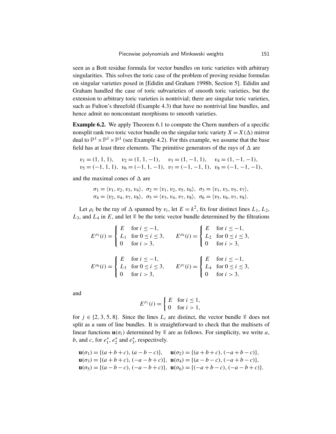seen as a Bott residue formula for vector bundles on toric varieties with arbitrary singularities. This solves the toric case of the problem of proving residue formulas on singular varieties posed in [Edidin and Graham 1998b, Section 5]. Edidin and Graham handled the case of toric subvarieties of smooth toric varieties, but the extension to arbitrary toric varieties is nontrivial; there are singular toric varieties, such as Fulton's threefold (Example 4.3) that have no nontrivial line bundles, and hence admit no nonconstant morphisms to smooth varieties.

Example 6.2. We apply Theorem 6.1 to compute the Chern numbers of a specific nonsplit rank two toric vector bundle on the singular toric variety  $X = X(\Delta)$  mirror dual to  $\mathbb{P}^1 \times \mathbb{P}^1 \times \mathbb{P}^1$  (see Example 4.2). For this example, we assume that the base field has at least three elements. The primitive generators of the rays of  $\Delta$  are

$$
v_1 = (1, 1, 1), v_2 = (1, 1, -1), v_3 = (1, -1, 1), v_4 = (1, -1, -1),
$$
  
\n $v_5 = (-1, 1, 1), v_6 = (-1, 1, -1), v_7 = (-1, -1, 1), v_8 = (-1, -1, -1),$ 

and the maximal cones of  $\Delta$  are

$$
\sigma_1 = \langle v_1, v_2, v_3, v_4 \rangle, \ \sigma_2 = \langle v_1, v_2, v_5, v_6 \rangle, \ \sigma_3 = \langle v_1, v_3, v_5, v_7 \rangle, \sigma_4 = \langle v_2, v_4, v_7, v_8 \rangle, \ \sigma_5 = \langle v_3, v_4, v_7, v_8 \rangle, \ \sigma_6 = \langle v_5, v_6, v_7, v_8 \rangle.
$$

Let  $\rho_i$  be the ray of  $\Delta$  spanned by  $v_i$ , let  $E = k^2$ , fix four distinct lines  $L_1, L_2$ ,  $L_3$ , and  $L_4$  in *E*, and let  $\&$  be the toric vector bundle determined by the filtrations

$$
E^{\rho_1}(i) = \begin{cases} E & \text{for } i \le -1, \\ L_1 & \text{for } 0 \le i \le 3, \\ 0 & \text{for } i > 3, \end{cases} \qquad E^{\rho_4}(i) = \begin{cases} E & \text{for } i \le -1, \\ L_2 & \text{for } 0 \le i \le 3, \\ 0 & \text{for } i > 3, \end{cases}
$$

$$
E^{\rho_6}(i) = \begin{cases} E & \text{for } i \le -1, \\ L_3 & \text{for } 0 \le i \le 3, \\ 0 & \text{for } i > 3, \end{cases} \qquad E^{\rho_7}(i) = \begin{cases} E & \text{for } i \le -1, \\ L_4 & \text{for } 0 \le i \le 3, \\ 0 & \text{for } i > 3, \end{cases}
$$

and

$$
E^{\rho_j}(i) = \begin{cases} E & \text{for } i \le 1, \\ 0 & \text{for } i > 1, \end{cases}
$$

for  $j \in \{2, 3, 5, 8\}$ . Since the lines  $L_i$  are distinct, the vector bundle  $\mathscr E$  does not split as a sum of line bundles. It is straightforward to check that the multisets of linear functions  $\mathbf{u}(\sigma_i)$  determined by  $\mathscr E$  are as follows. For simplicity, we write *a*, *b*, and *c*, for  $e_1^*$  $i<sub>1</sub>$ <sup>\*</sup>,  $e<sub>2</sub>$ <sup>\*</sup>  $\frac{1}{2}$  and  $e_3^*$  $_{3}^{*}$ , respectively.

$$
\mathbf{u}(\sigma_1) = \{(a+b+c), (a-b-c)\}, \quad \mathbf{u}(\sigma_2) = \{(a+b+c), (-a+b-c)\},
$$
  
\n
$$
\mathbf{u}(\sigma_3) = \{(a+b+c), (-a-b+c)\}, \quad \mathbf{u}(\sigma_4) = \{(a-b-c), (-a+b-c)\},
$$
  
\n
$$
\mathbf{u}(\sigma_5) = \{(a-b-c), (-a-b+c)\}, \quad \mathbf{u}(\sigma_6) = \{(-a+b-c), (-a-b+c)\}.
$$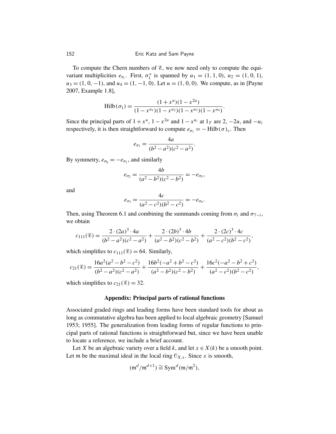To compute the Chern numbers of  $\mathscr{E}$ , we now need only to compute the equivariant multiplicities  $e_{\sigma_i}$ . First,  $\sigma_1^*$  $i_1^*$  is spanned by  $u_1 = (1, 1, 0), u_2 = (1, 0, 1),$  $u_3 = (1, 0, -1)$ , and  $u_4 = (1, -1, 0)$ . Let  $u = (1, 0, 0)$ . We compute, as in [Payne 2007, Example 1.8],

$$
\mathrm{Hilb}(\sigma_1) = \frac{(1+x^u)(1-x^{2u})}{(1-x^{u_1})(1-x^{u_2})(1-x^{u_3})(1-x^{u_4})}.
$$

Since the principal parts of  $1 + x^u$ ,  $1 - x^{2u}$  and  $1 - x^{u_i}$  at  $1_T$  are 2,  $-2u$ , and  $-u_i$ respectively, it is then straightforward to compute  $e_{\sigma_1} = - \text{Hilb}(\sigma)_{\circ}$ . Then

$$
e_{\sigma_1} = \frac{4a}{(b^2 - a^2)(c^2 - a^2)}.
$$

By symmetry,  $e_{\sigma_6} = -e_{\sigma_1}$ , and similarly

$$
e_{\sigma_2} = \frac{4b}{(a^2 - b^2)(c^2 - b^2)} = -e_{\sigma_5},
$$

and

$$
e_{\sigma_3} = \frac{4c}{(a^2 - c^2)(b^2 - c^2)} = -e_{\sigma_4}.
$$

Then, using Theorem 6.1 and combining the summands coming from  $\sigma_i$  and  $\sigma_{7-i}$ , we obtain

$$
c_{111}(\mathscr{E}) = \frac{2 \cdot (2a)^3 \cdot 4a}{(b^2 - a^2)(c^2 - a^2)} + \frac{2 \cdot (2b)^3 \cdot 4b}{(a^2 - b^2)(c^2 - b^2)} + \frac{2 \cdot (2c)^3 \cdot 4c}{(a^2 - c^2)(b^2 - c^2)}
$$

,

which simplifies to  $c_{111}(\mathscr{E}) = 64$ . Similarly,

$$
c_{21}(\mathscr{E}) = \frac{16a^2(a^2 - b^2 - c^2)}{(b^2 - a^2)(c^2 - a^2)} + \frac{16b^2(-a^2 + b^2 - c^2)}{(a^2 - b^2)(c^2 - b^2)} + \frac{16c^2(-a^2 - b^2 + c^2)}{(a^2 - c^2)(b^2 - c^2)},
$$

which simplifies to  $c_{21}(\mathscr{E}) = 32$ .

### Appendix: Principal parts of rational functions

Associated graded rings and leading forms have been standard tools for about as long as commutative algebra has been applied to local algebraic geometry [Samuel 1953; 1955]. The generalization from leading forms of regular functions to principal parts of rational functions is straightforward but, since we have been unable to locate a reference, we include a brief account.

Let *X* be an algebraic variety over a field *k*, and let  $x \in X(k)$  be a smooth point. Let m be the maximal ideal in the local ring  $\mathbb{O}_{X,x}$ . Since *x* is smooth,

$$
(\mathfrak{m}^d/\mathfrak{m}^{d+1}) \cong \operatorname{Sym}^d(\mathfrak{m}/\mathfrak{m}^2),
$$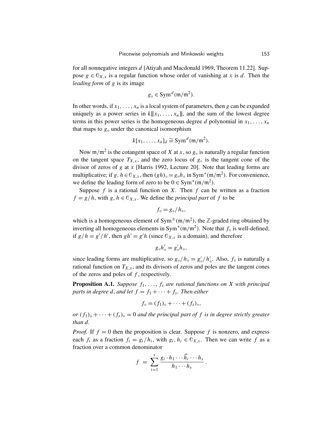for all nonnegative integers *d* [Atiyah and Macdonald 1969, Theorem 11.22]. Suppose  $g \in \mathbb{O}_{X,x}$  is a regular function whose order of vanishing at *x* is *d*. Then the *leading form* of *g* is its image

$$
g_{\circ} \in \text{Sym}^d(\mathfrak{m}/\mathfrak{m}^2).
$$

In other words, if  $x_1, \ldots, x_n$  is a local system of parameters, then *g* can be expanded uniquely as a power series in  $k[[x_1, \ldots, x_n]]$ , and the sum of the lowest degree terms in this power series is the homogeneous degree *d* polynomial in  $x_1, \ldots, x_n$ that maps to  $g<sub>°</sub>$  under the canonical isomorphism

$$
k[x_1, \ldots, x_n]_d \cong \text{Sym}^d(\mathfrak{m}/\mathfrak{m}^2).
$$

Now  $m/m^2$  is the cotangent space of *X* at *x*, so  $g_0$  is naturally a regular function on the tangent space  $T_{X,x}$ , and the zero locus of  $g_0$  is the tangent cone of the divisor of zeros of *g* at *x* [Harris 1992, Lecture 20]. Note that leading forms are multiplicative; if *g*,  $h \in \mathbb{O}_{X,x}$ , then  $(gh)_{\circ} = g_{\circ}h_{\circ}$  in Sym<sup>\*</sup>(m/m<sup>2</sup>). For convenience, we define the leading form of zero to be  $0 \in \text{Sym}^*(\mathfrak{m}/\mathfrak{m}^2)$ .

Suppose *f* is a rational function on *X*. Then *f* can be written as a fraction  $f = g/h$ , with  $g, h \in \mathbb{O}_{X,x}$ . We define the *principal part* of f to be

$$
f_{\circ} = g_{\circ}/h_{\circ},
$$

which is a homogeneous element of Sym<sup> $\pm$ </sup>(m/m<sup>2</sup>), the Z-graded ring obtained by inverting all homogeneous elements in  $Sym^*(m/m^2)$ . Note that  $f_0$  is well-defined; if  $g/h = g'/h'$ , then  $gh' = g'h$  (since  $\mathbb{O}_{X,x}$  is a domain), and therefore

$$
g_{\circ}h'_{\circ} = g'_{\circ}h_{\circ},
$$

since leading forms are multiplicative, so  $g_{\circ}/h_{\circ} = g'_{\circ}/h'_{\circ}$ . Also,  $f_{\circ}$  is naturally a rational function on  $T_{X,x}$ , and its divisors of zeros and poles are the tangent cones of the zeros and poles of *f* , respectively.

**Proposition A.1.** *Suppose*  $f_1, \ldots, f_s$  *are rational functions on X with principal parts in degree d, and let*  $f = f_1 + \cdots + f_s$ *. Then either* 

$$
f_{\circ} = (f_1)_{\circ} + \cdots + (f_s)_{\circ},
$$

*or*  $(f_1)$ <sup> $\circ$ </sup> +  $\cdots$  +  $(f_s)$ <sup> $\circ$ </sup> = 0 *and the principal part of f is in degree strictly greater than d.*

*Proof.* If  $f = 0$  then the proposition is clear. Suppose f is nonzero, and express each  $f_i$  as a fraction  $f_i = g_i/h_i$ , with  $g_i, h_i \in \mathbb{C}_{X,x}$ . Then we can write  $f$  as a fraction over a common denominator

$$
f = \sum_{i=1}^s \frac{g_i \cdot h_1 \cdots \widehat{h_i} \cdots h_s}{h_1 \cdots h_s}.
$$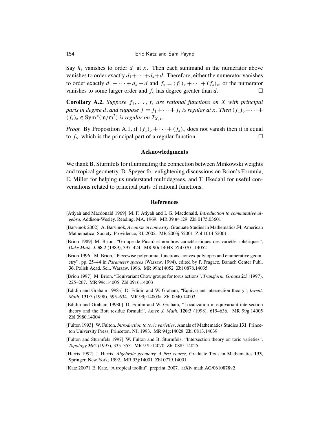Say  $h_i$  vanishes to order  $d_i$  at x. Then each summand in the numerator above vanishes to order exactly  $d_1 + \cdots + d_s + d$ . Therefore, either the numerator vanishes to order exactly  $d_1 + \cdots + d_s + d$  and  $f_{\circ} = (f_1)_{\circ} + \cdots + (f_s)_{\circ}$ , or the numerator vanishes to some larger order and  $f_{\circ}$  has degree greater than  $d$ .

**Corollary A.2.** *Suppose*  $f_1, \ldots, f_s$  *are rational functions on X with principal parts in degree d, and suppose*  $f = f_1 + \cdots + f_s$  *is regular at x. Then*  $(f_1)_\circ + \cdots + f_s$  $(f_s)$ <sub>○</sub> ∈ Sym<sup>\*</sup>(m/m<sup>2</sup>) *is regular on*  $T_{X,x}$ *.* 

*Proof.* By Proposition A.1, if  $(f_1)$ <sub>o</sub> + · · · +  $(f_s)$ <sub>o</sub> does not vanish then it is equal to  $f_{\circ}$ , which is the principal part of a regular function.  $\Box$ 

#### Acknowledgments

We thank B. Sturmfels for illuminating the connection between Minkowski weights and tropical geometry, D. Speyer for enlightening discussions on Brion's Formula, E. Miller for helping us understand multidegrees, and T. Ekedahl for useful conversations related to principal parts of rational functions.

#### References

- [Atiyah and Macdonald 1969] M. F. Atiyah and I. G. Macdonald, *Introduction to commutative algebra*, Addison-Wesley, Reading, MA, 1969. MR 39 #4129 Zbl 0175.03601
- [Barvinok 2002] A. Barvinok, *A course in convexity*, Graduate Studies in Mathematics 54, American Mathematical Society, Providence, RI, 2002. MR 2003j:52001 Zbl 1014.52001
- [Brion 1989] M. Brion, "Groupe de Picard et nombres caractéristiques des variétés sphériques", *Duke Math. J.* 58:2 (1989), 397–424. MR 90i:14048 Zbl 0701.14052
- [Brion 1996] M. Brion, "Piecewise polynomial functions, convex polytopes and enumerative geometry", pp. 25–44 in *Parameter spaces* (Warsaw, 1994), edited by P. Pragacz, Banach Center Publ. 36, Polish Acad. Sci., Warsaw, 1996. MR 99h:14052 Zbl 0878.14035
- [Brion 1997] M. Brion, "Equivariant Chow groups for torus actions", *Transform. Groups* 2:3 (1997), 225–267. MR 99c:14005 Zbl 0916.14003
- [Edidin and Graham 1998a] D. Edidin and W. Graham, "Equivariant intersection theory", *Invent. Math.* 131:3 (1998), 595–634. MR 99j:14003a Zbl 0940.14003
- [Edidin and Graham 1998b] D. Edidin and W. Graham, "Localization in equivariant intersection theory and the Bott residue formula", *Amer. J. Math.* 120:3 (1998), 619–636. MR 99g:14005 Zbl 0980.14004
- [Fulton 1993] W. Fulton, *Introduction to toric varieties*, Annals of Mathematics Studies 131, Princeton University Press, Princeton, NJ, 1993. MR 94g:14028 Zbl 0813.14039
- [Fulton and Sturmfels 1997] W. Fulton and B. Sturmfels, "Intersection theory on toric varieties", *Topology* 36:2 (1997), 335–353. MR 97h:14070 Zbl 0885.14025
- [Harris 1992] J. Harris, *Algebraic geometry. A first course*, Graduate Texts in Mathematics 133, Springer, New York, 1992. MR 93j:14001 Zbl 0779.14001
- [Katz 2007] E. Katz, "A tropical toolkit", preprint, 2007. arXiv math.AG/0610878v2